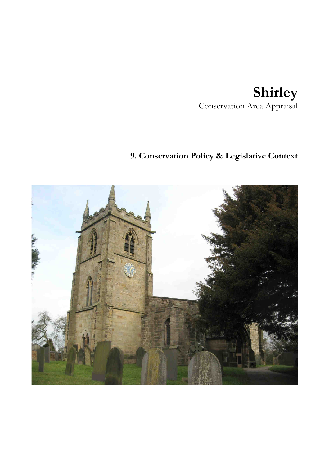# **Shirley**  Conservation Area Appraisal

# **9. Conservation Policy & Legislative Context**

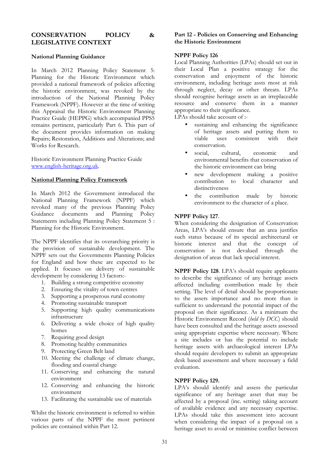## **CONSERVATION POLICY & LEGISLATIVE CONTEXT**

## **National Planning Guidance**

In March 2012 Planning Policy Statement 5: Planning for the Historic Environment which provided a national framework of policies affecting the historic environment, was revoked by the introduction of the National Planning Policy Framework (NPPF). However at the time of writing this Appraisal the Historic Environment Planning Practice Guide (HEPPG) which accompanied PPS5 remains pertinent, particularly Part 6. This part of the document provides information on making Repairs; Restoration, Additions and Alterations; and Works for Research.

Historic Environment Planning Practice Guide www.english-heritage.org.uk.

### **National Planning Policy Framework**

In March 2012 the Government introduced the National Planning Framework (NPPF) which revoked many of the previous Planning Policy Guidance documents and Planning Policy Statements including Planning Policy Statement 5 : Planning for the Historic Environment.

The NPPF identifies that its overarching priority is the provision of sustainable development. The NPPF sets out the Governments Planning Policies for England and how these are expected to be applied. It focuses on delivery of sustainable development by considering 13 factors:-

- 1. Building a strong competitive economy
- 2. Ensuring the vitality of town centres
- 3. Supporting a prosperous rural economy
- 4. Promoting sustainable transport
- 5. Supporting high quality communications infrastructure
- 6. Delivering a wide choice of high quality homes
- 7. Requiring good design
- 8. Promoting healthy communities
- 9. Protecting Green Belt land
- 10. Meeting the challenge of climate change, flooding and coastal change
- 11. Conserving and enhancing the natural environment
- 12. Conserving and enhancing the historic environment
- 13. Facilitating the sustainable use of materials

Whilst the historic environment is referred to within various parts of the NPPF the most pertinent policies are contained within Part 12.

## **Part 12 - Policies on Conserving and Enhancing the Historic Environment**

## **NPPF Policy 126**

Local Planning Authorities (LPAs) should set out in their Local Plan a positive strategy for the conservation and enjoyment of the historic environment, including heritage assts most at risk through neglect, decay or other threats. LPAs should recognise heritage assets as an irreplaceable resource and conserve them in a manner appropriate to their significance.

LPAs should take account of :-

- sustaining and enhancing the significance of heritage assets and putting them to viable uses consistent with their conservation.
- social, cultural, economic and environmental benefits that conservation of the historic environment can bring
- new development making a positive contribution to local character and distinctiveness
- the contribution made by historic environment to the character of a place.

## **NPPF Policy 127**.

When considering the designation of Conservation Areas, LPA's should ensure that an area justifies such status because of its special architectural or historic interest and that the concept of conservation is not devalued through the designation of areas that lack special interest.

**NPPF Policy 128**. LPA's should require applicants to describe the significance of any heritage assets affected including contribution made by their setting. The level of detail should be proportionate to the assets importance and no more than is sufficient to understand the potential impact of the proposal on their significance. As a minimum the Historic Environment Record (*held by DCC*) should have been consulted and the heritage assets assessed using appropriate expertise where necessary. Where a site includes or has the potential to include heritage assets with archaeological interest LPAs should require developers to submit an appropriate desk based assessment and where necessary a field evaluation.

## **NPPF Policy 129.**

LPA's should identify and assess the particular significance of any heritage asset that may be affected by a proposal (inc. setting) taking account of available evidence and any necessary expertise. LPAs should take this assessment into account when considering the impact of a proposal on a heritage asset to avoid or minimise conflict between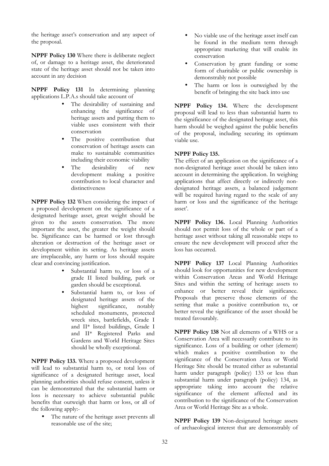the heritage asset's conservation and any aspect of the proposal.

**NPPF Policy 130** Where there is deliberate neglect of, or damage to a heritage asset, the deteriorated state of the heritage asset should not be taken into account in any decision

**NPPF Policy 131** In determining planning applications L.P.A.s should take account of

- The desirability of sustaining and enhancing the significance of heritage assets and putting them to viable uses consistent with their conservation
- The positive contribution that conservation of heritage assets can make to sustainable communities including their economic viability
- The desirability of new development making a positive contribution to local character and distinctiveness

**NPPF Policy 132** When considering the impact of a proposed development on the significance of a designated heritage asset, great weight should be given to the assets conservation. The more important the asset, the greater the weight should be. Significance can be harmed or lost through alteration or destruction of the heritage asset or development within its setting. As heritage assets are irreplaceable, any harm or loss should require clear and convincing justification.

- Substantial harm to, or loss of a grade II listed building, park or garden should be exceptional.
- Substantial harm to, or loss of designated heritage assets of the<br>highest significance. notably significance. scheduled monuments, protected wreck sites, battlefields, Grade I and II\* listed buildings, Grade I and II\* Registered Parks and Gardens and World Heritage Sites should be wholly exceptional.

**NPPF Policy 133.** Where a proposed development will lead to substantial harm to, or total loss of significance of a designated heritage asset, local planning authorities should refuse consent, unless it can be demonstrated that the substantial harm or loss is necessary to achieve substantial public benefits that outweigh that harm or loss, or all of the following apply:-

• The nature of the heritage asset prevents all reasonable use of the site;

- No viable use of the heritage asset itself can be found in the medium term through appropriate marketing that will enable its conservation
- Conservation by grant funding or some form of charitable or public ownership is demonstrably not possible
- The harm or loss is outweighed by the benefit of bringing the site back into use

**NPPF Policy 134.** Where the development proposal will lead to less than substantial harm to the significance of the designated heritage asset, this harm should be weighed against the public benefits of the proposal, including securing its optimum viable use.

## **NPPF Policy 135.**

The effect of an application on the significance of a non-designated heritage asset should be taken into account in determining the application. In weighing applications that affect directly or indirectly nondesignated heritage assets, a balanced judgement will be required having regard to the scale of any harm or loss and the significance of the heritage asset'.

**NPPF Policy 136.** Local Planning Authorities should not permit loss of the whole or part of a heritage asset without taking all reasonable steps to ensure the new development will proceed after the loss has occurred.

**NPPF Policy 137** Local Planning Authorities should look for opportunities for new development within Conservation Areas and World Heritage Sites and within the setting of heritage assets to enhance or better reveal their significance. Proposals that preserve those elements of the setting that make a positive contribution to, or better reveal the significance of the asset should be treated favourably.

**NPPF Policy 138** Not all elements of a WHS or a Conservation Area will necessarily contribute to its significance. Loss of a building or other (element) which makes a positive contribution to the significance of the Conservation Area or World Heritage Site should be treated either as substantial harm under paragraph (policy) 133 or less than substantial harm under paragraph (policy) 134, as appropriate taking into account the relative significance of the element affected and its contribution to the significance of the Conservation Area or World Heritage Site as a whole.

**NPPF Policy 139** Non-designated heritage assets of archaeological interest that are demonstrably of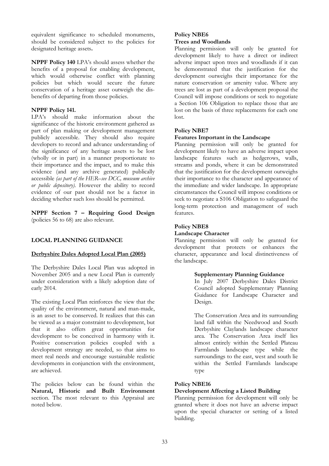equivalent significance to scheduled monuments, should be considered subject to the policies for designated heritage assets**.** 

**NPPF Policy 140** LPA's should assess whether the benefits of a proposal for enabling development, which would otherwise conflict with planning policies but which would secure the future conservation of a heritage asset outweigh the disbenefits of departing from those policies.

## **NPPF Policy 141.**

LPA's should make information about the significance of the historic environment gathered as part of plan making or development management publicly accessible. They should also require developers to record and advance understanding of the significance of any heritage assets to be lost (wholly or in part) in a manner proportionate to their importance and the impact, and to make this evidence (and any archive generated) publically accessible *(as part of the HER–see DCC, museum archive or public depository)*. However the ability to record evidence of our past should not be a factor in deciding whether such loss should be permitted.

**NPPF Section 7 – Requiring Good Design**  (policies 56 to 68) are also relevant.

# **LOCAL PLANNING GUIDANCE**

## **Derbyshire Dales Adopted Local Plan (2005)**

The Derbyshire Dales Local Plan was adopted in November 2005 and a new Local Plan is currently under consideration with a likely adoption date of early 2014.

The existing Local Plan reinforces the view that the quality of the environment, natural and man-made, is an asset to be conserved. It realizes that this can be viewed as a major constraint to development, but that it also offers great opportunities for development to be conceived in harmony with it. Positive conservation policies coupled with a development strategy are needed, so that aims to meet real needs and encourage sustainable realistic developments in conjunction with the environment, are achieved.

The policies below can be found within the **Natural, Historic and Built Environment** section. The most relevant to this Appraisal are noted below.

# **Policy NBE6**

# **Trees and Woodlands**

Planning permission will only be granted for development likely to have a direct or indirect adverse impact upon trees and woodlands if it can be demonstrated that the justification for the development outweighs their importance for the nature conservation or amenity value. Where any trees are lost as part of a development proposal the Council will impose conditions or seek to negotiate a Section 106 Obligation to replace those that are lost on the basis of three replacements for each one lost.

## **Policy NBE7**

## **Features Important in the Landscape**

Planning permission will only be granted for development likely to have an adverse impact upon landscape features such as hedgerows, walls, streams and ponds, where it can be demonstrated that the justification for the development outweighs their importance to the character and appearance of the immediate and wider landscape. In appropriate circumstances the Council will impose conditions or seek to negotiate a S106 Obligation to safeguard the long-term protection and management of such features.

## **Policy NBE8**

## **Landscape Character**

Planning permission will only be granted for development that protects or enhances the character, appearance and local distinctiveness of the landscape.

### **Supplementary Planning Guidance**

In July 2007 Derbyshire Dales District Council adopted Supplementary Planning Guidance for Landscape Character and Design.

The Conservation Area and its surrounding land fall within the Needwood and South Derbyshire Claylands landscape character area. The Conservation Area itself lies almost entirely within the Settled Plateau Farmlands landscape type while the surroundings to the east, west and south lie within the Settled Farmlands landscape type

## **Policy NBE16**

## **Development Affecting a Listed Building**

Planning permission for development will only be granted where it does not have an adverse impact upon the special character or setting of a listed building.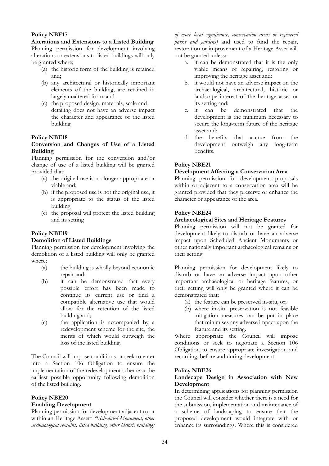## **Policy NBE17**

**Alterations and Extensions to a Listed Building**  Planning permission for development involving alterations or extensions to listed buildings will only be granted where;

- (a) the historic form of the building is retained and;
- (b) any architectural or historically important elements of the building, are retained in largely unaltered form; and
- (c) the proposed design, materials, scale and detailing does not have an adverse impact the character and appearance of the listed building

## **Policy NBE18**

## **Conversion and Changes of Use of a Listed Building**

Planning permission for the conversion and/or change of use of a listed building will be granted provided that;

- (a) the original use is no longer appropriate or viable and;
- (b) if the proposed use is not the original use, it is appropriate to the status of the listed building
- (c) the proposal will protect the listed building and its setting

# **Policy NBE19**

## **Demolition of Listed Buildings**

Planning permission for development involving the demolition of a listed building will only be granted where;

- (a) the building is wholly beyond economic repair and:
- (b) it can be demonstrated that every possible effort has been made to continue its current use or find a compatible alternative use that would allow for the retention of the listed building and;
- (c) the application is accompanied by a redevelopment scheme for the site, the merits of which would outweigh the loss of the listed building.

The Council will impose conditions or seek to enter into a Section 106 Obligation to ensure the implementation of the redevelopment scheme at the earliest possible opportunity following demolition of the listed building.

## **Policy NBE20 Enabling Development**

Planning permission for development adjacent to or within an Heritage Asset\* *(\*Scheduled Monument, other archaeological remains, listed building, other historic buildings* 

*of more local significance, conservation areas or registered parks and gardens)* and used to fund the repair, restoration or improvement of a Heritage Asset will not be granted unless:-

- a. it can be demonstrated that it is the only viable means of repairing, restoring or improving the heritage asset and:
- b. it would not have an adverse impact on the archaeological, architectural, historic or landscape interest of the heritage asset or its setting and:
- c. it can be demonstrated that the development is the minimum necessary to secure the long-term future of the heritage asset and;
- d. the benefits that accrue from the development outweigh any long-term benefits.

# **Policy NBE21**

## **Development Affecting a Conservation Area**

Planning permission for development proposals within or adjacent to a conservation area will be granted provided that they preserve or enhance the character or appearance of the area.

## **Policy NBE24**

## **Archaeological Sites and Heritage Features**

Planning permission will not be granted for development likely to disturb or have an adverse impact upon Scheduled Ancient Monuments or other nationally important archaeological remains or their setting

Planning permission for development likely to disturb or have an adverse impact upon other important archaeological or heritage features, or their setting will only be granted where it can be demonstrated that;

- (a) the feature can be preserved in-situ, or;
- (b) where in-situ preservation is not feasible mitigation measures can be put in place that minimises any adverse impact upon the feature and its setting.

Where appropriate the Council will impose conditions or seek to negotiate a Section 106 Obligation to ensure appropriate investigation and recording, before and during development.

## **Policy NBE26**

## **Landscape Design in Association with New Development**

In determining applications for planning permission the Council will consider whether there is a need for the submission, implementation and maintenance of a scheme of landscaping to ensure that the proposed development would integrate with or enhance its surroundings. Where this is considered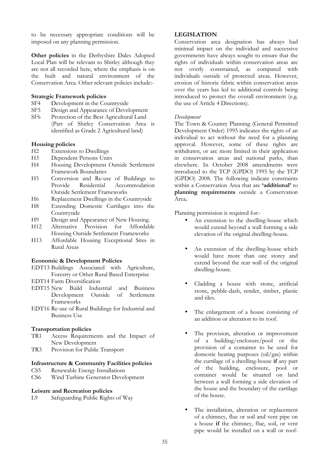to be necessary appropriate conditions will be imposed on any planning permission.

**Other policies** in the Derbyshire Dales Adopted Local Plan will be relevant to Shirley although they are not all recorded here, where the emphasis is on the built and natural environment of the Conservation Area. Other relevant policies include:-

### **Strategic Framework policies**

- SF4 Development in the Countryside
- SF5 Design and Appearance of Development
- SF6 Protection of the Best Agricultural Land (Part of Shirley Conservation Area is identified as Grade 2 Agricultural land)

#### **Housing policies**

- H2 Extensions to Dwellings
- H3 Dependent Persons Units
- H4 Housing Development Outside Settlement Framework Boundaries
- H5 Conversion and Re-use of Buildings to Provide Residential Accommodation Outside Settlement Frameworks
- H6 Replacement Dwellings in the Countryside
- H8 Extending Domestic Curtilages into the Countryside
- H9 Design and Appearance of New Housing.
- H12 Alternative Provision for Affordable Housing Outside Settlement Frameworks
- H13 Affordable Housing Exceptional Sites in Rural Areas

#### **Economic & Development Policies**

- EDT13 Buildings Associated with Agriculture, Forestry or Other Rural Based Enterprise
- EDT14 Farm Diversification
- EDT15 New Build Industrial and Business Development Outside of Settlement Frameworks
- EDT16 Re-use of Rural Buildings for Industrial and Business Use

# **Transportation policies**

- Access Requirements and the Impact of New Development
- TR3 Provision for Public Transport

#### **Infrastructure & Community Facilities policies**

- CS5 Renewable Energy Installations
- CS6 Wind Turbine Generator Development

#### **Leisure and Recreation policies**

L9 Safeguarding Public Rights of Way

#### **LEGISLATION**

Conservation area designation has always had minimal impact on the individual and successive governments have always sought to ensure that the rights of individuals within conservation areas are not overly constrained, as compared with individuals outside of protected areas. However, erosion of historic fabric within conservation areas over the years has led to additional controls being introduced to protect the overall environment (e.g. the use of Article 4 Directions).

#### *Development*

The Town & Country Planning (General Permitted Development Order) 1995 indicates the rights of an individual to act without the need for a planning approval. However, some of these rights are withdrawn, or are more limited in their application in conservation areas and national parks, than elsewhere. In October 2008 amendments were introduced to the TCP (GPDO) 1995 by the TCP (GPDO) 2008. The following indicate constraints within a Conservation Area that are **'additional'** to **planning requirements** outside a Conservation Area**.** 

Planning permission is required for:-

- An extension to the dwelling-house which would extend beyond a wall forming a side elevation of the original dwelling-house.
- An extension of the dwelling-house which would have more than one storey and extend beyond the rear wall of the original dwelling-house.
- Cladding a house with stone, artificial stone, pebble-dash, render, timber, plastic and tiles.
- The enlargement of a house consisting of an addition or alteration to its roof.
- The provision, alteration or improvement of a building/enclosure/pool or the provision of a container to be used for domestic heating purposes (oil/gas) within the curtilage of a dwelling-house **if** any part of the building, enclosure, pool or container would be situated on land between a wall forming a side elevation of the house and the boundary of the cartilage of the house.
- The installation, alteration or replacement of a chimney, flue or soil and vent pipe on a house **if** the chimney, flue, soil, or vent pipe would be installed on a wall or roof-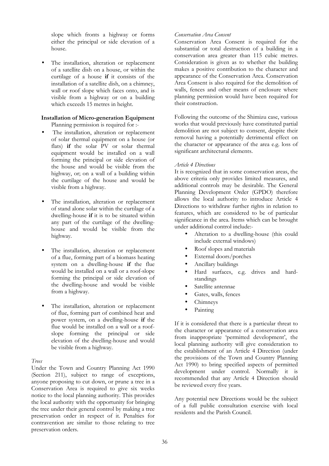slope which fronts a highway or forms either the principal or side elevation of a house.

The installation, alteration or replacement of a satellite dish on a house, or within the curtilage of a house **if** it consists of the installation of a satellite dish, on a chimney, wall or roof slope which faces onto, and is visible from a highway or on a building which exceeds 15 metres in height.

# **Installation of Micro-generation Equipment**

Planning permission is required for :-

- The installation, alteration or replacement of solar thermal equipment on a house (or flats) if the solar PV or solar thermal equipment would be installed on a wall forming the principal or side elevation of the house and would be visible from the highway, or; on a wall of a building within the curtilage of the house and would be visible from a highway.
- The installation, alteration or replacement of stand alone solar within the curtilage of a dwelling-house **if** it is to be situated within any part of the curtilage of the dwellinghouse and would be visible from the highway.
- The installation, alteration or replacement of a flue, forming part of a biomass heating system on a dwelling-house **if** the flue would be installed on a wall or a roof-slope forming the principal or side elevation of the dwelling-house and would be visible from a highway.
- The installation, alteration or replacement of flue, forming part of combined heat and power system, on a dwelling-house **if** the flue would be installed on a wall or a roofslope forming the principal or side elevation of the dwelling-house and would be visible from a highway.

# *Trees*

Under the Town and Country Planning Act 1990 (Section 211), subject to range of exceptions, anyone proposing to cut down, or prune a tree in a Conservation Area is required to give six weeks notice to the local planning authority. This provides the local authority with the opportunity for bringing the tree under their general control by making a tree preservation order in respect of it. Penalties for contravention are similar to those relating to tree preservation orders.

## *Conservation Area Consent*

Conservation Area Consent is required for the substantial or total destruction of a building in a conservation area greater than 115 cubic metres. Consideration is given as to whether the building makes a positive contribution to the character and appearance of the Conservation Area. Conservation Area Consent is also required for the demolition of walls, fences and other means of enclosure where planning permission would have been required for their construction.

Following the outcome of the Shimizu case, various works that would previously have constituted partial demolition are not subject to consent, despite their removal having a potentially detrimental effect on the character or appearance of the area e.g. loss of significant architectural elements.

## *Article 4 Directions*

It is recognized that in some conservation areas, the above criteria only provides limited measures, and additional controls may be desirable. The General Planning Development Order (GPDO) therefore allows the local authority to introduce Article 4 Directions to withdraw further rights in relation to features, which are considered to be of particular significance in the area. Items which can be brought under additional control include:-

- Alteration to a dwelling-house (this could include external windows)
- Roof slopes and materials
- External doors/porches
- Ancillary buildings
- Hard surfaces, e.g. drives and hardstandings
- Satellite antennae
- Gates, walls, fences
- Chimneys
- Painting

If it is considered that there is a particular threat to the character or appearance of a conservation area from inappropriate 'permitted development', the local planning authority will give consideration to the establishment of an Article 4 Direction (under the provisions of the Town and Country Planning Act 1990) to bring specified aspects of permitted development under control. Normally it is recommended that any Article 4 Direction should be reviewed every five years.

Any potential new Directions would be the subject of a full public consultation exercise with local residents and the Parish Council.